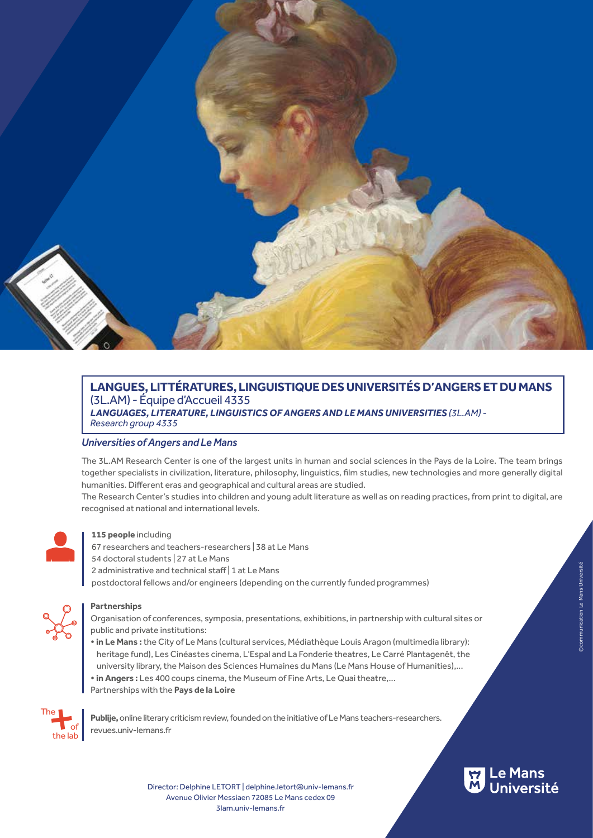

# **LANGUES, LITTÉRATURES, LINGUISTIQUE DES UNIVERSITÉS D'ANGERS ET DU MANS**  (3L.AM) - Équipe d'Accueil 4335 *LANGUAGES, LITERATURE, LINGUISTICS OF ANGERS AND LE MANS UNIVERSITIES (3L.AM) - Research group 4335*

# *Universities of Angers and Le Mans*

The 3L.AM Research Center is one of the largest units in human and social sciences in the Pays de la Loire. The team brings together specialists in civilization, literature, philosophy, linguistics, film studies, new technologies and more generally digital humanities. Different eras and geographical and cultural areas are studied.

The Research Center's studies into children and young adult literature as well as on reading practices, from print to digital, are recognised at national and international levels.



### **115 people** including

- 67 researchers and teachers-researchers | 38 at Le Mans
- 54 doctoral students | 27 at Le Mans
- 2 administrative and technical staff | 1 at Le Mans
- postdoctoral fellows and/or engineers (depending on the currently funded programmes)



# **Partnerships**

Organisation of conferences, symposia, presentations, exhibitions, in partnership with cultural sites or public and private institutions:

- **in Le Mans :** the City of Le Mans (cultural services, Médiathèque Louis Aragon (multimedia library): heritage fund), Les Cinéastes cinema, L'Espal and La Fonderie theatres, Le Carré Plantagenêt, the university library, the Maison des Sciences Humaines du Mans (Le Mans House of Humanities),...
- **in Angers :** Les 400 coups cinema, the Museum of Fine Arts, Le Quai theatre,... Partnerships with the **Pays de la Loire**



**Publije,** online literary criticism review, founded on the initiative of Le Mans teachers-researchers. revues.univ-lemans.fr

> Director: Delphine LETORT | delphine.letort@univ-lemans.fr 3lam.univ-lemans.fr Avenue Olivier Messiaen 72085 Le Mans cedex 09

# ©communication Le Mans Université

**L**e Mans<br>Université